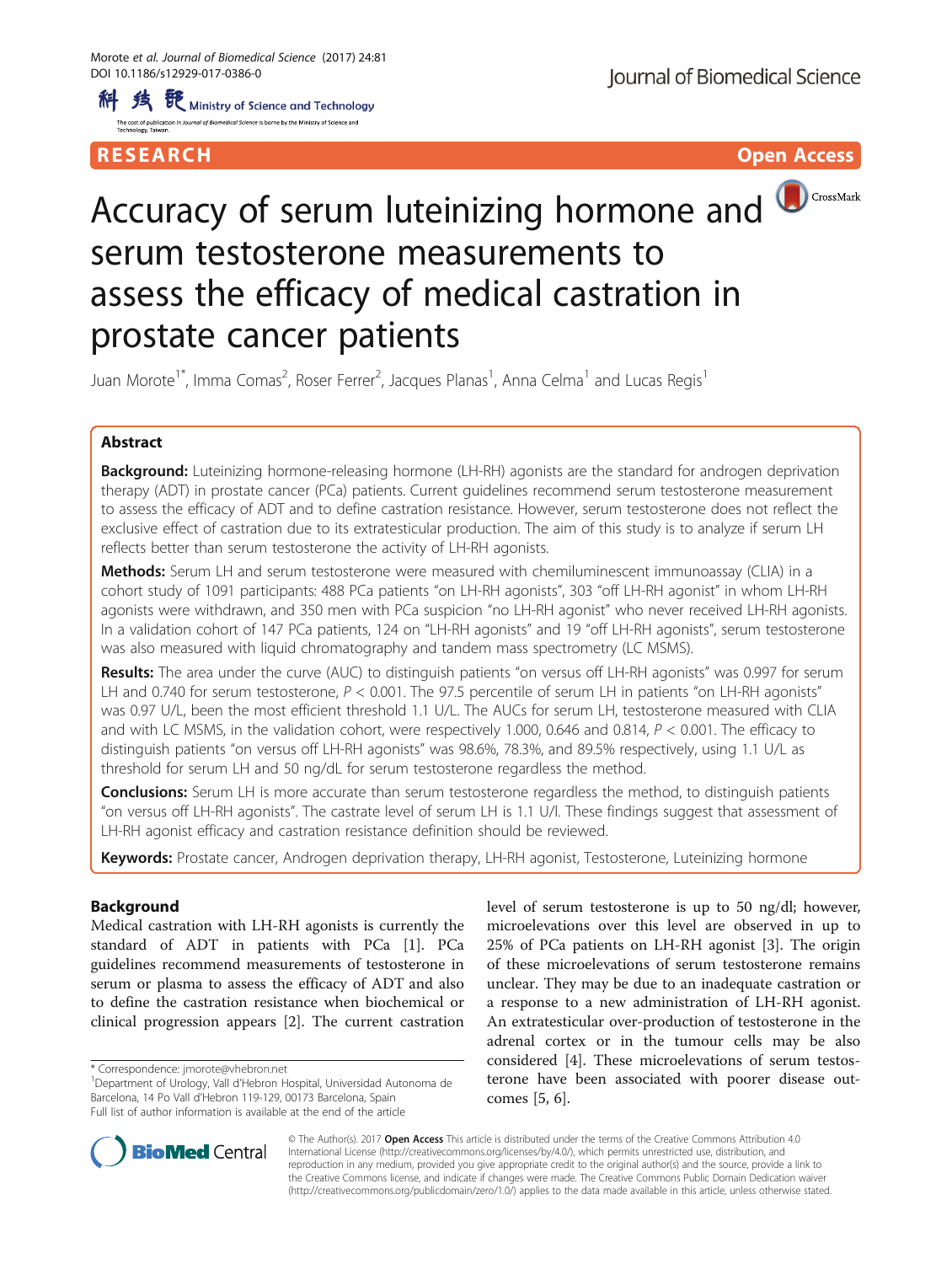科 线 <sup>{</sup> { b} winistry of Science and Technology

The cost of publication in Journal of Biomedical Science is borne by the Minist<br>Technology Taiwan

# **RESEARCH CHINESE ARCH CHINESE ARCH CHINESE ARCH <b>CHINESE ARCH CHINESE ARCH CHINESE ARCH <b>CHINESE** ARCH **CHINESE ARCH** CHINESE ARCH **CHINESE ARCH** CHINESE ARCH **CHINESE ARCH 2014**



# Accuracy of serum luteinizing hormone and serum testosterone measurements to assess the efficacy of medical castration in prostate cancer patients

Juan Morote<sup>1\*</sup>, Imma Comas<sup>2</sup>, Roser Ferrer<sup>2</sup>, Jacques Planas<sup>1</sup>, Anna Celma<sup>1</sup> and Lucas Regis<sup>1</sup>

# Abstract

Background: Luteinizing hormone-releasing hormone (LH-RH) agonists are the standard for androgen deprivation therapy (ADT) in prostate cancer (PCa) patients. Current guidelines recommend serum testosterone measurement to assess the efficacy of ADT and to define castration resistance. However, serum testosterone does not reflect the exclusive effect of castration due to its extratesticular production. The aim of this study is to analyze if serum LH reflects better than serum testosterone the activity of LH-RH agonists.

Methods: Serum LH and serum testosterone were measured with chemiluminescent immunoassay (CLIA) in a cohort study of 1091 participants: 488 PCa patients "on LH-RH agonists", 303 "off LH-RH agonist" in whom LH-RH agonists were withdrawn, and 350 men with PCa suspicion "no LH-RH agonist" who never received LH-RH agonists. In a validation cohort of 147 PCa patients, 124 on "LH-RH agonists" and 19 "off LH-RH agonists", serum testosterone was also measured with liquid chromatography and tandem mass spectrometry (LC MSMS).

Results: The area under the curve (AUC) to distinguish patients "on versus off LH-RH agonists" was 0.997 for serum LH and 0.740 for serum testosterone,  $P < 0.001$ . The 97.5 percentile of serum LH in patients "on LH-RH agonists" was 0.97 U/L, been the most efficient threshold 1.1 U/L. The AUCs for serum LH, testosterone measured with CLIA and with LC MSMS, in the validation cohort, were respectively 1.000, 0.646 and 0.814,  $P < 0.001$ . The efficacy to distinguish patients "on versus off LH-RH agonists" was 98.6%, 78.3%, and 89.5% respectively, using 1.1 U/L as threshold for serum LH and 50 ng/dL for serum testosterone regardless the method.

Conclusions: Serum LH is more accurate than serum testosterone regardless the method, to distinguish patients "on versus off LH-RH agonists". The castrate level of serum LH is 1.1 U/l. These findings suggest that assessment of LH-RH agonist efficacy and castration resistance definition should be reviewed.

Keywords: Prostate cancer, Androgen deprivation therapy, LH-RH agonist, Testosterone, Luteinizing hormone

# Background

Medical castration with LH-RH agonists is currently the standard of ADT in patients with PCa [[1](#page-5-0)]. PCa guidelines recommend measurements of testosterone in serum or plasma to assess the efficacy of ADT and also to define the castration resistance when biochemical or clinical progression appears [[2](#page-5-0)]. The current castration

level of serum testosterone is up to 50 ng/dl; however, microelevations over this level are observed in up to 25% of PCa patients on LH-RH agonist [[3\]](#page-5-0). The origin of these microelevations of serum testosterone remains unclear. They may be due to an inadequate castration or a response to a new administration of LH-RH agonist. An extratesticular over-production of testosterone in the adrenal cortex or in the tumour cells may be also considered [[4\]](#page-5-0). These microelevations of serum testosterone have been associated with poorer disease outcomes [[5, 6\]](#page-5-0).



© The Author(s). 2017 **Open Access** This article is distributed under the terms of the Creative Commons Attribution 4.0 International License [\(http://creativecommons.org/licenses/by/4.0/](http://creativecommons.org/licenses/by/4.0/)), which permits unrestricted use, distribution, and reproduction in any medium, provided you give appropriate credit to the original author(s) and the source, provide a link to the Creative Commons license, and indicate if changes were made. The Creative Commons Public Domain Dedication waiver [\(http://creativecommons.org/publicdomain/zero/1.0/](http://creativecommons.org/publicdomain/zero/1.0/)) applies to the data made available in this article, unless otherwise stated.

<sup>\*</sup> Correspondence: [jmorote@vhebron.net](mailto:jmorote@vhebron.net) <sup>1</sup>

Department of Urology, Vall d'Hebron Hospital, Universidad Autonoma de Barcelona, 14 Po Vall d'Hebron 119-129, 00173 Barcelona, Spain Full list of author information is available at the end of the article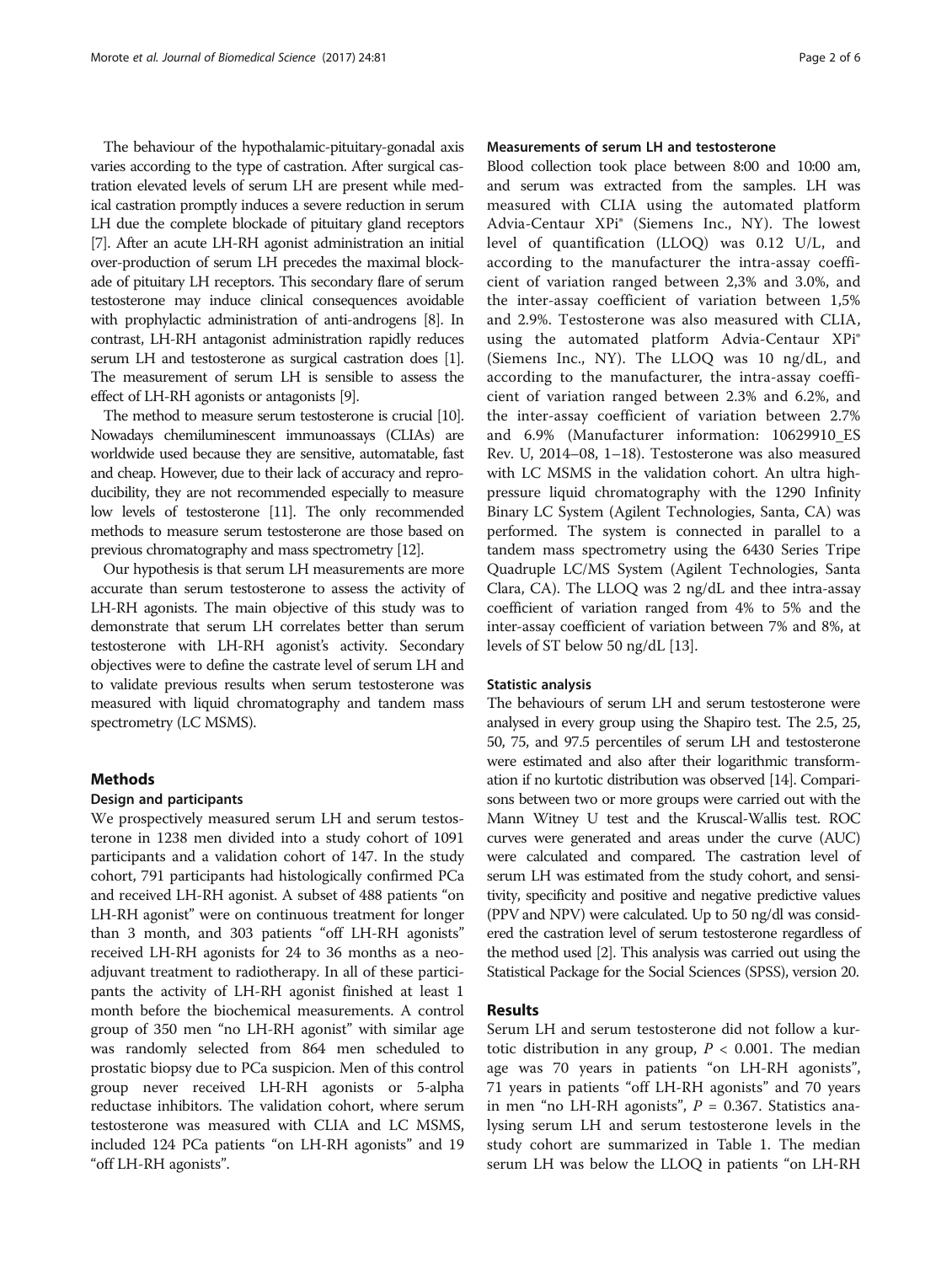The behaviour of the hypothalamic-pituitary-gonadal axis varies according to the type of castration. After surgical castration elevated levels of serum LH are present while medical castration promptly induces a severe reduction in serum LH due the complete blockade of pituitary gland receptors [[7](#page-5-0)]. After an acute LH-RH agonist administration an initial over-production of serum LH precedes the maximal blockade of pituitary LH receptors. This secondary flare of serum testosterone may induce clinical consequences avoidable with prophylactic administration of anti-androgens [\[8\]](#page-5-0). In contrast, LH-RH antagonist administration rapidly reduces serum LH and testosterone as surgical castration does [\[1](#page-5-0)]. The measurement of serum LH is sensible to assess the effect of LH-RH agonists or antagonists [\[9\]](#page-5-0).

The method to measure serum testosterone is crucial [\[10\]](#page-5-0). Nowadays chemiluminescent immunoassays (CLIAs) are worldwide used because they are sensitive, automatable, fast and cheap. However, due to their lack of accuracy and reproducibility, they are not recommended especially to measure low levels of testosterone [\[11](#page-5-0)]. The only recommended methods to measure serum testosterone are those based on previous chromatography and mass spectrometry [\[12](#page-5-0)].

Our hypothesis is that serum LH measurements are more accurate than serum testosterone to assess the activity of LH-RH agonists. The main objective of this study was to demonstrate that serum LH correlates better than serum testosterone with LH-RH agonist's activity. Secondary objectives were to define the castrate level of serum LH and to validate previous results when serum testosterone was measured with liquid chromatography and tandem mass spectrometry (LC MSMS).

# Methods

#### Design and participants

We prospectively measured serum LH and serum testosterone in 1238 men divided into a study cohort of 1091 participants and a validation cohort of 147. In the study cohort, 791 participants had histologically confirmed PCa and received LH-RH agonist. A subset of 488 patients "on LH-RH agonist" were on continuous treatment for longer than 3 month, and 303 patients "off LH-RH agonists" received LH-RH agonists for 24 to 36 months as a neoadjuvant treatment to radiotherapy. In all of these participants the activity of LH-RH agonist finished at least 1 month before the biochemical measurements. A control group of 350 men "no LH-RH agonist" with similar age was randomly selected from 864 men scheduled to prostatic biopsy due to PCa suspicion. Men of this control group never received LH-RH agonists or 5-alpha reductase inhibitors. The validation cohort, where serum testosterone was measured with CLIA and LC MSMS, included 124 PCa patients "on LH-RH agonists" and 19 "off LH-RH agonists".

# Measurements of serum LH and testosterone

Blood collection took place between 8:00 and 10:00 am, and serum was extracted from the samples. LH was measured with CLIA using the automated platform Advia-Centaur XPi® (Siemens Inc., NY). The lowest level of quantification (LLOQ) was 0.12 U/L, and according to the manufacturer the intra-assay coefficient of variation ranged between 2,3% and 3.0%, and the inter-assay coefficient of variation between 1,5% and 2.9%. Testosterone was also measured with CLIA, using the automated platform Advia-Centaur XPi® (Siemens Inc., NY). The LLOQ was 10 ng/dL, and according to the manufacturer, the intra-assay coefficient of variation ranged between 2.3% and 6.2%, and the inter-assay coefficient of variation between 2.7% and 6.9% (Manufacturer information: 10629910\_ES Rev. U, 2014–08, 1–18). Testosterone was also measured with LC MSMS in the validation cohort. An ultra highpressure liquid chromatography with the 1290 Infinity Binary LC System (Agilent Technologies, Santa, CA) was performed. The system is connected in parallel to a tandem mass spectrometry using the 6430 Series Tripe Quadruple LC/MS System (Agilent Technologies, Santa Clara, CA). The LLOQ was 2 ng/dL and thee intra-assay coefficient of variation ranged from 4% to 5% and the inter-assay coefficient of variation between 7% and 8%, at levels of ST below 50 ng/dL [[13](#page-5-0)].

## Statistic analysis

The behaviours of serum LH and serum testosterone were analysed in every group using the Shapiro test. The 2.5, 25, 50, 75, and 97.5 percentiles of serum LH and testosterone were estimated and also after their logarithmic transformation if no kurtotic distribution was observed [\[14\]](#page-5-0). Comparisons between two or more groups were carried out with the Mann Witney U test and the Kruscal-Wallis test. ROC curves were generated and areas under the curve (AUC) were calculated and compared. The castration level of serum LH was estimated from the study cohort, and sensitivity, specificity and positive and negative predictive values (PPV and NPV) were calculated. Up to 50 ng/dl was considered the castration level of serum testosterone regardless of the method used [\[2\]](#page-5-0). This analysis was carried out using the Statistical Package for the Social Sciences (SPSS), version 20.

# Results

Serum LH and serum testosterone did not follow a kurtotic distribution in any group,  $P < 0.001$ . The median age was 70 years in patients "on LH-RH agonists", 71 years in patients "off LH-RH agonists" and 70 years in men "no LH-RH agonists",  $P = 0.367$ . Statistics analysing serum LH and serum testosterone levels in the study cohort are summarized in Table [1](#page-2-0). The median serum LH was below the LLOQ in patients "on LH-RH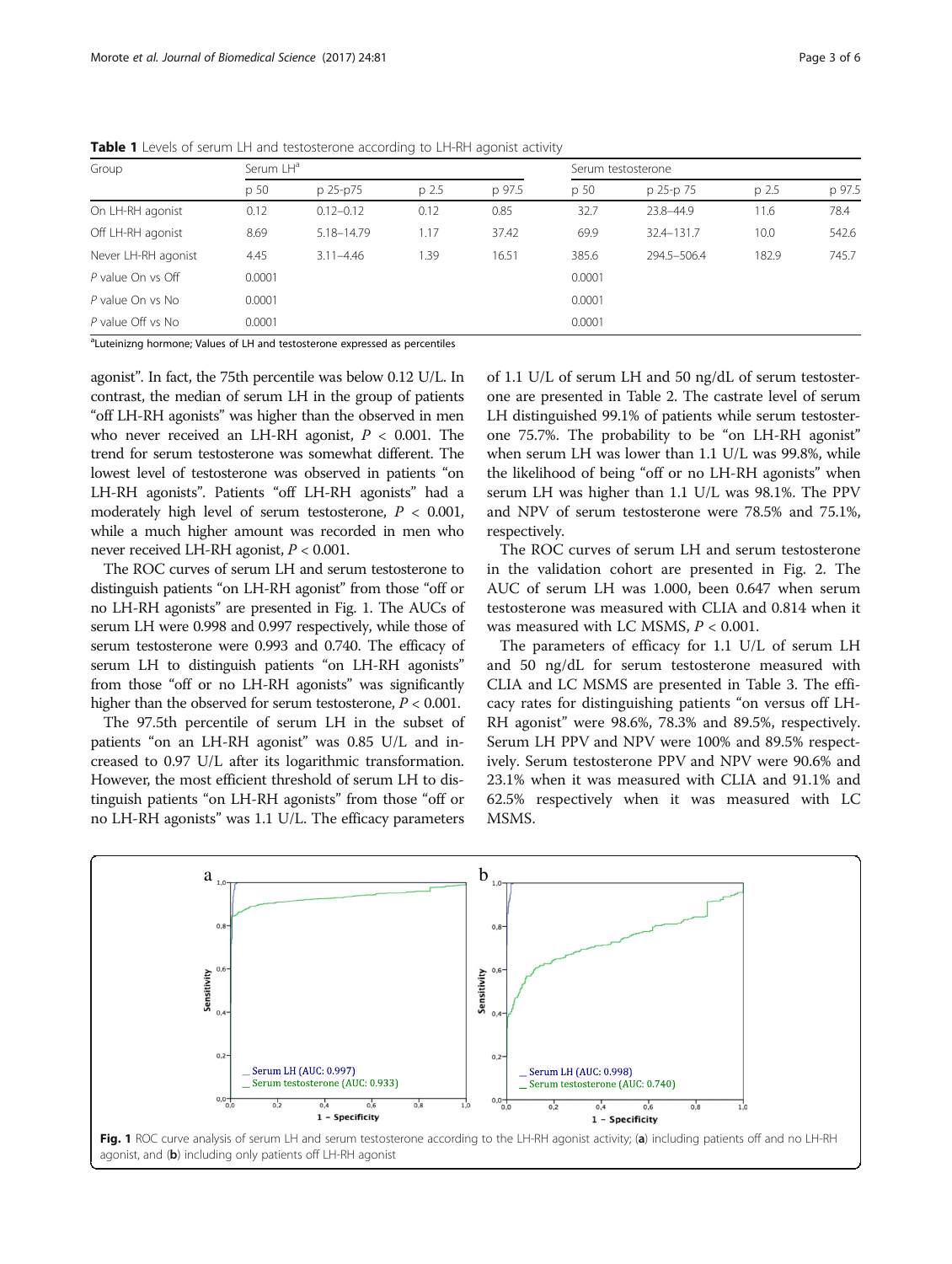| Serum LH <sup>a</sup> |               |       |        | Serum testosterone |             |       |        |
|-----------------------|---------------|-------|--------|--------------------|-------------|-------|--------|
| p 50                  | p 25-p75      | p 2.5 | p 97.5 | p 50               | p 25-p 75   | p 2.5 | p 97.5 |
| 0.12                  | $0.12 - 0.12$ | 0.12  | 0.85   | 32.7               | 23.8-44.9   | 11.6  | 78.4   |
| 8.69                  | 5.18-14.79    | 1.17  | 37.42  | 69.9               | 32.4-131.7  | 10.0  | 542.6  |
| 4.45                  | $3.11 - 4.46$ | 1.39  | 16.51  | 385.6              | 294.5-506.4 | 182.9 | 745.7  |
| 0.0001                |               |       |        | 0.0001             |             |       |        |
| 0.0001                |               |       |        | 0.0001             |             |       |        |
| 0.0001                |               |       |        | 0.0001             |             |       |        |
|                       |               |       |        |                    |             |       |        |

<span id="page-2-0"></span>Table 1 Levels of serum LH and testosterone according to LH-RH agonist activity

<sup>a</sup>Luteinizng hormone; Values of LH and testosterone expressed as percentiles

agonist". In fact, the 75th percentile was below 0.12 U/L. In contrast, the median of serum LH in the group of patients "off LH-RH agonists" was higher than the observed in men who never received an LH-RH agonist,  $P < 0.001$ . The trend for serum testosterone was somewhat different. The lowest level of testosterone was observed in patients "on LH-RH agonists". Patients "off LH-RH agonists" had a moderately high level of serum testosterone,  $P < 0.001$ , while a much higher amount was recorded in men who never received LH-RH agonist,  $P < 0.001$ .

The ROC curves of serum LH and serum testosterone to distinguish patients "on LH-RH agonist" from those "off or no LH-RH agonists" are presented in Fig. 1. The AUCs of serum LH were 0.998 and 0.997 respectively, while those of serum testosterone were 0.993 and 0.740. The efficacy of serum LH to distinguish patients "on LH-RH agonists" from those "off or no LH-RH agonists" was significantly higher than the observed for serum testosterone,  $P < 0.001$ .

The 97.5th percentile of serum LH in the subset of patients "on an LH-RH agonist" was 0.85 U/L and increased to 0.97 U/L after its logarithmic transformation. However, the most efficient threshold of serum LH to distinguish patients "on LH-RH agonists" from those "off or no LH-RH agonists" was 1.1 U/L. The efficacy parameters of 1.1 U/L of serum LH and 50 ng/dL of serum testosterone are presented in Table [2.](#page-3-0) The castrate level of serum LH distinguished 99.1% of patients while serum testosterone 75.7%. The probability to be "on LH-RH agonist" when serum LH was lower than 1.1 U/L was 99.8%, while the likelihood of being "off or no LH-RH agonists" when serum LH was higher than 1.1 U/L was 98.1%. The PPV and NPV of serum testosterone were 78.5% and 75.1%, respectively.

The ROC curves of serum LH and serum testosterone in the validation cohort are presented in Fig. [2.](#page-3-0) The AUC of serum LH was 1.000, been 0.647 when serum testosterone was measured with CLIA and 0.814 when it was measured with LC MSMS,  $P < 0.001$ .

The parameters of efficacy for 1.1 U/L of serum LH and 50 ng/dL for serum testosterone measured with CLIA and LC MSMS are presented in Table [3](#page-4-0). The efficacy rates for distinguishing patients "on versus off LH-RH agonist" were 98.6%, 78.3% and 89.5%, respectively. Serum LH PPV and NPV were 100% and 89.5% respectively. Serum testosterone PPV and NPV were 90.6% and 23.1% when it was measured with CLIA and 91.1% and 62.5% respectively when it was measured with LC MSMS.

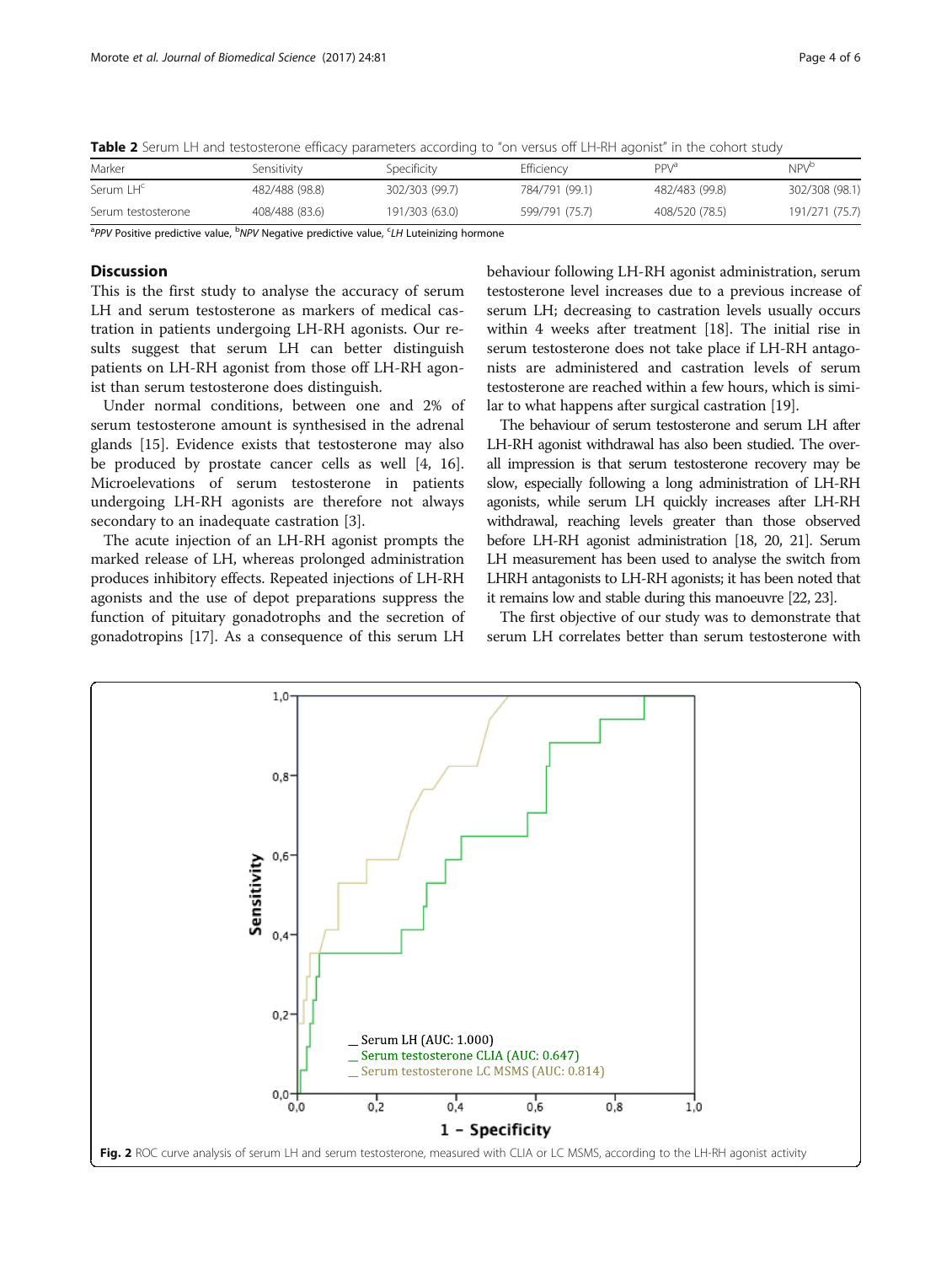<span id="page-3-0"></span>

| Table 2 Serum LH and testosterone efficacy parameters according to "on versus off LH-RH agonist" in the cohort study |  |  |
|----------------------------------------------------------------------------------------------------------------------|--|--|
|                                                                                                                      |  |  |

| Marker                | Sensitivitv    | Specificity    | Efficiency     | $PPV^d$        | $NPV^D$        |
|-----------------------|----------------|----------------|----------------|----------------|----------------|
| Serum LH <sup>c</sup> | 482/488 (98.8) | 302/303 (99.7) | 784/791 (99.1) | 482/483 (99.8) | 302/308 (98.1) |
| Serum testosterone    | 408/488 (83.6) | 191/303 (63.0) | 599/791 (75.7) | 408/520 (78.5) | 191/271 (75.7) |

<sup>a</sup>PPV Positive predictive value, <sup>b</sup>NPV Negative predictive value, <sup>c</sup>LH Luteinizing hormone

# **Discussion**

This is the first study to analyse the accuracy of serum LH and serum testosterone as markers of medical castration in patients undergoing LH-RH agonists. Our results suggest that serum LH can better distinguish patients on LH-RH agonist from those off LH-RH agonist than serum testosterone does distinguish.

Under normal conditions, between one and 2% of serum testosterone amount is synthesised in the adrenal glands [[15](#page-5-0)]. Evidence exists that testosterone may also be produced by prostate cancer cells as well [[4, 16](#page-5-0)]. Microelevations of serum testosterone in patients undergoing LH-RH agonists are therefore not always secondary to an inadequate castration [\[3](#page-5-0)].

The acute injection of an LH-RH agonist prompts the marked release of LH, whereas prolonged administration produces inhibitory effects. Repeated injections of LH-RH agonists and the use of depot preparations suppress the function of pituitary gonadotrophs and the secretion of gonadotropins [\[17](#page-5-0)]. As a consequence of this serum LH behaviour following LH-RH agonist administration, serum testosterone level increases due to a previous increase of serum LH; decreasing to castration levels usually occurs within 4 weeks after treatment [[18](#page-5-0)]. The initial rise in serum testosterone does not take place if LH-RH antagonists are administered and castration levels of serum testosterone are reached within a few hours, which is similar to what happens after surgical castration [\[19\]](#page-5-0).

The behaviour of serum testosterone and serum LH after LH-RH agonist withdrawal has also been studied. The overall impression is that serum testosterone recovery may be slow, especially following a long administration of LH-RH agonists, while serum LH quickly increases after LH-RH withdrawal, reaching levels greater than those observed before LH-RH agonist administration [\[18, 20, 21\]](#page-5-0). Serum LH measurement has been used to analyse the switch from LHRH antagonists to LH-RH agonists; it has been noted that it remains low and stable during this manoeuvre [\[22](#page-5-0), [23\]](#page-5-0).

The first objective of our study was to demonstrate that serum LH correlates better than serum testosterone with

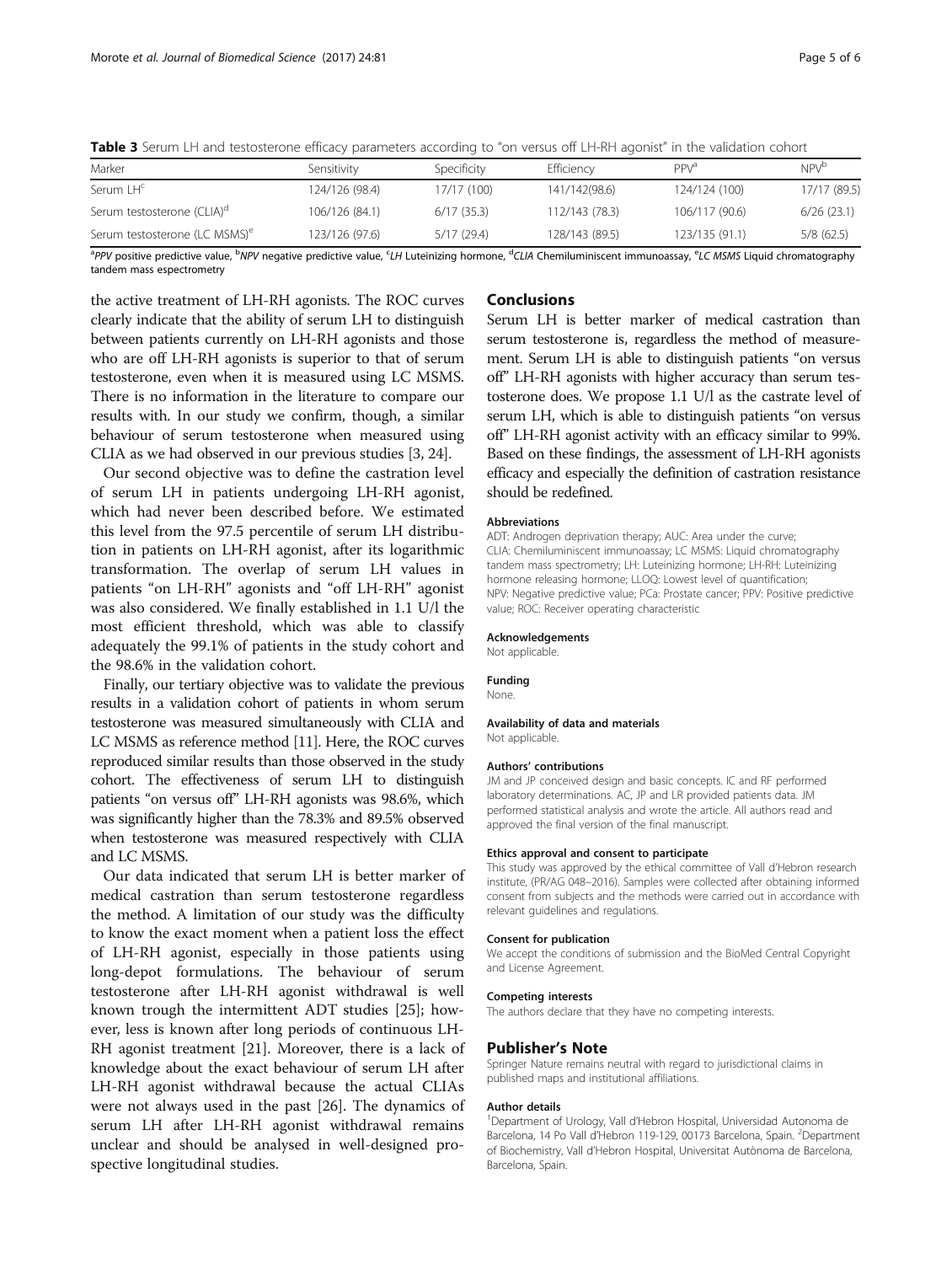| Marker                                    | Sensitivity    | Specificity | Efficiency     | PPV <sup>a</sup> | $NPV^b$      |
|-------------------------------------------|----------------|-------------|----------------|------------------|--------------|
| Serum LH <sup>c</sup>                     | 124/126 (98.4) | 17/17 (100) | 141/142(98.6)  | 124/124 (100)    | 17/17 (89.5) |
| Serum testosterone (CLIA) <sup>a</sup>    | 106/126 (84.1) | 6/17(35.3)  | 112/143 (78.3) | 106/117 (90.6)   | 6/26(23.1)   |
| Serum testosterone (LC MSMS) <sup>e</sup> | 123/126 (97.6) | 5/17(29.4)  | 128/143 (89.5) | 123/135 (91.1)   | 5/8(62.5)    |

<span id="page-4-0"></span>Table 3 Serum LH and testosterone efficacy parameters according to "on versus off LH-RH agonist" in the validation cohort

<sup>a</sup>PPV positive predictive value, <sup>b</sup>NPV negative predictive value, <sup>c</sup>LH Luteinizing hormone, <sup>d</sup>CLIA Chemiluminiscent immunoassay, <sup>e</sup>LC MSMS Liquid chromatography tandem mass espectrometry

the active treatment of LH-RH agonists. The ROC curves clearly indicate that the ability of serum LH to distinguish between patients currently on LH-RH agonists and those who are off LH-RH agonists is superior to that of serum testosterone, even when it is measured using LC MSMS. There is no information in the literature to compare our results with. In our study we confirm, though, a similar behaviour of serum testosterone when measured using CLIA as we had observed in our previous studies [\[3](#page-5-0), [24\]](#page-5-0).

Our second objective was to define the castration level of serum LH in patients undergoing LH-RH agonist, which had never been described before. We estimated this level from the 97.5 percentile of serum LH distribution in patients on LH-RH agonist, after its logarithmic transformation. The overlap of serum LH values in patients "on LH-RH" agonists and "off LH-RH" agonist was also considered. We finally established in 1.1 U/l the most efficient threshold, which was able to classify adequately the 99.1% of patients in the study cohort and the 98.6% in the validation cohort.

Finally, our tertiary objective was to validate the previous results in a validation cohort of patients in whom serum testosterone was measured simultaneously with CLIA and LC MSMS as reference method [[11](#page-5-0)]. Here, the ROC curves reproduced similar results than those observed in the study cohort. The effectiveness of serum LH to distinguish patients "on versus off" LH-RH agonists was 98.6%, which was significantly higher than the 78.3% and 89.5% observed when testosterone was measured respectively with CLIA and LC MSMS.

Our data indicated that serum LH is better marker of medical castration than serum testosterone regardless the method. A limitation of our study was the difficulty to know the exact moment when a patient loss the effect of LH-RH agonist, especially in those patients using long-depot formulations. The behaviour of serum testosterone after LH-RH agonist withdrawal is well known trough the intermittent ADT studies [\[25](#page-5-0)]; however, less is known after long periods of continuous LH-RH agonist treatment [\[21](#page-5-0)]. Moreover, there is a lack of knowledge about the exact behaviour of serum LH after LH-RH agonist withdrawal because the actual CLIAs were not always used in the past [[26\]](#page-5-0). The dynamics of serum LH after LH-RH agonist withdrawal remains unclear and should be analysed in well-designed prospective longitudinal studies.

# Conclusions

Serum LH is better marker of medical castration than serum testosterone is, regardless the method of measurement. Serum LH is able to distinguish patients "on versus off" LH-RH agonists with higher accuracy than serum testosterone does. We propose 1.1 U/l as the castrate level of serum LH, which is able to distinguish patients "on versus off" LH-RH agonist activity with an efficacy similar to 99%. Based on these findings, the assessment of LH-RH agonists efficacy and especially the definition of castration resistance should be redefined.

## Abbreviations

ADT: Androgen deprivation therapy; AUC: Area under the curve; CLIA: Chemiluminiscent immunoassay; LC MSMS: Liquid chromatography tandem mass spectrometry; LH: Luteinizing hormone; LH-RH: Luteinizing hormone releasing hormone; LLOQ: Lowest level of quantification; NPV: Negative predictive value; PCa: Prostate cancer; PPV: Positive predictive value; ROC: Receiver operating characteristic

#### Acknowledgements

Not applicable.

#### Funding

None.

# Availability of data and materials

Not applicable.

#### Authors' contributions

JM and JP conceived design and basic concepts. IC and RF performed laboratory determinations. AC, JP and LR provided patients data. JM performed statistical analysis and wrote the article. All authors read and approved the final version of the final manuscript.

#### Ethics approval and consent to participate

This study was approved by the ethical committee of Vall d'Hebron research institute, (PR/AG 048–2016). Samples were collected after obtaining informed consent from subjects and the methods were carried out in accordance with relevant guidelines and regulations.

## Consent for publication

We accept the conditions of submission and the BioMed Central Copyright and License Agreement.

#### Competing interests

The authors declare that they have no competing interests.

# Publisher's Note

Springer Nature remains neutral with regard to jurisdictional claims in published maps and institutional affiliations.

#### Author details

<sup>1</sup>Department of Urology, Vall d'Hebron Hospital, Universidad Autonoma de Barcelona, 14 Po Vall d'Hebron 119-129, 00173 Barcelona, Spain. <sup>2</sup>Department of Biochemistry, Vall d'Hebron Hospital, Universitat Autònoma de Barcelona, Barcelona, Spain.